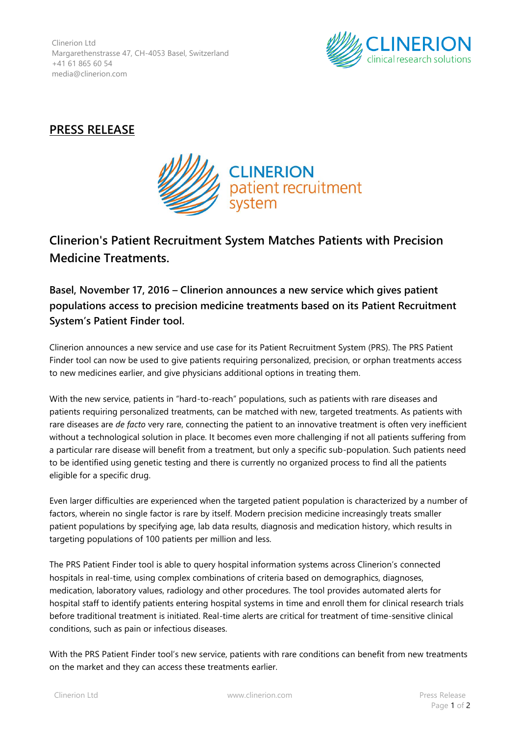Clinerion Ltd Margarethenstrasse 47, CH-4053 Basel, Switzerland +41 61 865 60 54 media@clinerion.com



## **PRESS RELEASE**



## **Clinerion's Patient Recruitment System Matches Patients with Precision Medicine Treatments.**

**Basel, November 17, 2016 – Clinerion announces a new service which gives patient populations access to precision medicine treatments based on its Patient Recruitment System's Patient Finder tool.**

Clinerion announces a new service and use case for its Patient Recruitment System (PRS). The PRS Patient Finder tool can now be used to give patients requiring personalized, precision, or orphan treatments access to new medicines earlier, and give physicians additional options in treating them.

With the new service, patients in "hard-to-reach" populations, such as patients with rare diseases and patients requiring personalized treatments, can be matched with new, targeted treatments. As patients with rare diseases are *de facto* very rare, connecting the patient to an innovative treatment is often very inefficient without a technological solution in place. It becomes even more challenging if not all patients suffering from a particular rare disease will benefit from a treatment, but only a specific sub-population. Such patients need to be identified using genetic testing and there is currently no organized process to find all the patients eligible for a specific drug.

Even larger difficulties are experienced when the targeted patient population is characterized by a number of factors, wherein no single factor is rare by itself. Modern precision medicine increasingly treats smaller patient populations by specifying age, lab data results, diagnosis and medication history, which results in targeting populations of 100 patients per million and less.

The PRS Patient Finder tool is able to query hospital information systems across Clinerion's connected hospitals in real-time, using complex combinations of criteria based on demographics, diagnoses, medication, laboratory values, radiology and other procedures. The tool provides automated alerts for hospital staff to identify patients entering hospital systems in time and enroll them for clinical research trials before traditional treatment is initiated. Real-time alerts are critical for treatment of time-sensitive clinical conditions, such as pain or infectious diseases.

With the PRS Patient Finder tool's new service, patients with rare conditions can benefit from new treatments on the market and they can access these treatments earlier.